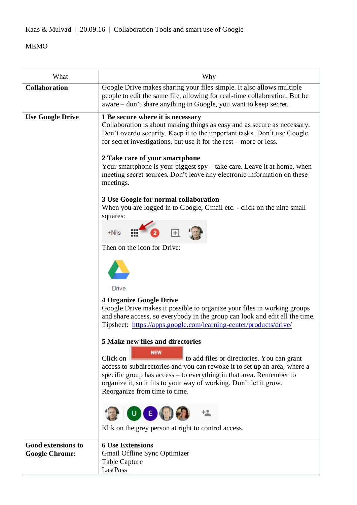Kaas & Mulvad | 20.09.16 | Collaboration Tools and smart use of Google

## MEMO

| What                                               | Why                                                                                                                                                                                                                                                                                                                                                                                                                                                                                                                                                                                                                                                                                                                                                                                                                                                                                                                                                                                                                                                                                                                                                                                                                                                                                                                                                                                                                                                                                |
|----------------------------------------------------|------------------------------------------------------------------------------------------------------------------------------------------------------------------------------------------------------------------------------------------------------------------------------------------------------------------------------------------------------------------------------------------------------------------------------------------------------------------------------------------------------------------------------------------------------------------------------------------------------------------------------------------------------------------------------------------------------------------------------------------------------------------------------------------------------------------------------------------------------------------------------------------------------------------------------------------------------------------------------------------------------------------------------------------------------------------------------------------------------------------------------------------------------------------------------------------------------------------------------------------------------------------------------------------------------------------------------------------------------------------------------------------------------------------------------------------------------------------------------------|
| <b>Collaboration</b>                               | Google Drive makes sharing your files simple. It also allows multiple<br>people to edit the same file, allowing for real-time collaboration. But be<br>aware – don't share anything in Google, you want to keep secret.                                                                                                                                                                                                                                                                                                                                                                                                                                                                                                                                                                                                                                                                                                                                                                                                                                                                                                                                                                                                                                                                                                                                                                                                                                                            |
| <b>Use Google Drive</b>                            | 1 Be secure where it is necessary<br>Collaboration is about making things as easy and as secure as necessary.<br>Don't overdo security. Keep it to the important tasks. Don't use Google<br>for secret investigations, but use it for the rest – more or less.<br>2 Take care of your smartphone<br>Your smartphone is your biggest spy - take care. Leave it at home, when<br>meeting secret sources. Don't leave any electronic information on these<br>meetings.<br>3 Use Google for normal collaboration<br>When you are logged in to Google, Gmail etc. - click on the nine small<br>squares:<br>$+Nils = \frac{111}{111}$<br>$\overline{\mathbf{a}}$ . Find $\overline{\mathbf{b}}$<br>Then on the icon for Drive:<br>Drive<br><b>4 Organize Google Drive</b><br>Google Drive makes it possible to organize your files in working groups<br>and share access, so everybody in the group can look and edit all the time.<br>Tipsheet: https://apps.google.com/learning-center/products/drive/<br>5 Make new files and directories<br><b>NEW</b><br>Click on<br>to add files or directories. You can grant<br>access to subdirectories and you can rewoke it to set up an area, where a<br>specific group has access – to everything in that area. Remember to<br>organize it, so it fits to your way of working. Don't let it grow.<br>Reorganize from time to time.<br>$\begin{pmatrix} 1 & 0 \\ 0 & 1 \end{pmatrix}$<br>Klik on the grey person at right to control access. |
| <b>Good extensions to</b><br><b>Google Chrome:</b> | <b>6 Use Extensions</b><br><b>Gmail Offline Sync Optimizer</b><br>Table Capture<br>LastPass                                                                                                                                                                                                                                                                                                                                                                                                                                                                                                                                                                                                                                                                                                                                                                                                                                                                                                                                                                                                                                                                                                                                                                                                                                                                                                                                                                                        |